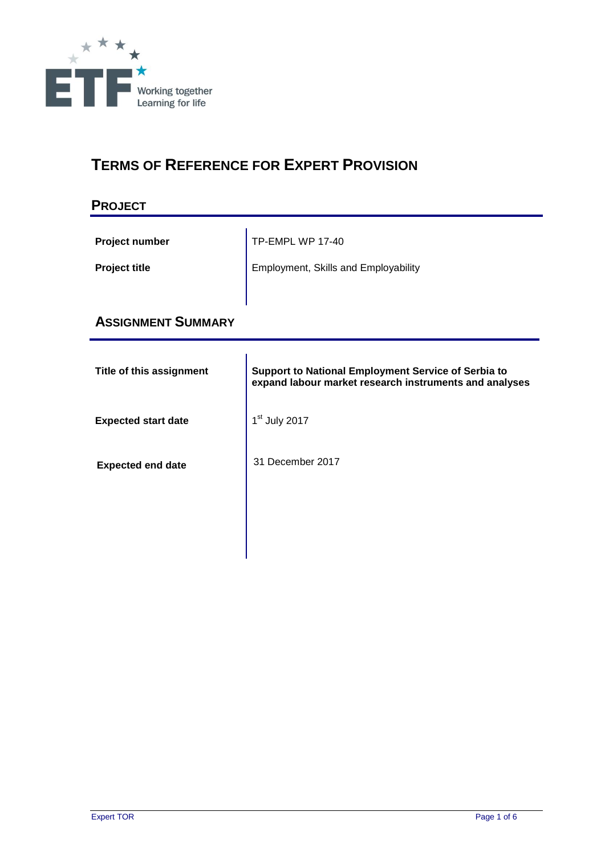

# **TERMS OF REFERENCE FOR EXPERT PROVISION**

## **PROJECT**

| <b>Project number</b> | TP-EMPL WP 17-40                     |
|-----------------------|--------------------------------------|
| <b>Project title</b>  | Employment, Skills and Employability |
|                       |                                      |

## **ASSIGNMENT SUMMARY**

| Title of this assignment   | <b>Support to National Employment Service of Serbia to</b><br>expand labour market research instruments and analyses |
|----------------------------|----------------------------------------------------------------------------------------------------------------------|
| <b>Expected start date</b> | 1 <sup>st</sup> July 2017                                                                                            |
| <b>Expected end date</b>   | 31 December 2017                                                                                                     |
|                            |                                                                                                                      |
|                            |                                                                                                                      |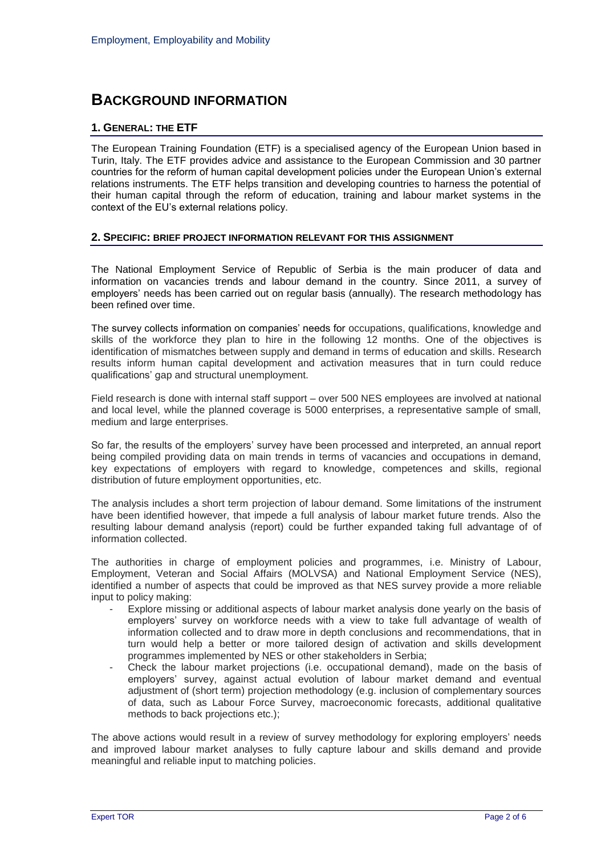## **BACKGROUND INFORMATION**

### **1. GENERAL: THE ETF**

The European Training Foundation (ETF) is a specialised agency of the European Union based in Turin, Italy. The ETF provides advice and assistance to the European Commission and 30 partner countries for the reform of human capital development policies under the European Union's external relations instruments. The ETF helps transition and developing countries to harness the potential of their human capital through the reform of education, training and labour market systems in the context of the EU's external relations policy.

#### **2. SPECIFIC: BRIEF PROJECT INFORMATION RELEVANT FOR THIS ASSIGNMENT**

The National Employment Service of Republic of Serbia is the main producer of data and information on vacancies trends and labour demand in the country. Since 2011, a survey of employers' needs has been carried out on regular basis (annually). The research methodology has been refined over time.

The survey collects information on companies' needs for occupations, qualifications, knowledge and skills of the workforce they plan to hire in the following 12 months. One of the objectives is identification of mismatches between supply and demand in terms of education and skills. Research results inform human capital development and activation measures that in turn could reduce qualifications' gap and structural unemployment.

Field research is done with internal staff support – over 500 NES employees are involved at national and local level, while the planned coverage is 5000 enterprises, a representative sample of small, medium and large enterprises.

So far, the results of the employers' survey have been processed and interpreted, an annual report being compiled providing data on main trends in terms of vacancies and occupations in demand, key expectations of employers with regard to knowledge, competences and skills, regional distribution of future employment opportunities, etc.

The analysis includes a short term projection of labour demand. Some limitations of the instrument have been identified however, that impede a full analysis of labour market future trends. Also the resulting labour demand analysis (report) could be further expanded taking full advantage of of information collected.

The authorities in charge of employment policies and programmes, i.e. Ministry of Labour, Employment, Veteran and Social Affairs (MOLVSA) and National Employment Service (NES), identified a number of aspects that could be improved as that NES survey provide a more reliable input to policy making:

- Explore missing or additional aspects of labour market analysis done yearly on the basis of employers' survey on workforce needs with a view to take full advantage of wealth of information collected and to draw more in depth conclusions and recommendations, that in turn would help a better or more tailored design of activation and skills development programmes implemented by NES or other stakeholders in Serbia;
- Check the labour market projections (i.e. occupational demand), made on the basis of employers' survey, against actual evolution of labour market demand and eventual adjustment of (short term) projection methodology (e.g. inclusion of complementary sources of data, such as Labour Force Survey, macroeconomic forecasts, additional qualitative methods to back projections etc.);

The above actions would result in a review of survey methodology for exploring employers' needs and improved labour market analyses to fully capture labour and skills demand and provide meaningful and reliable input to matching policies.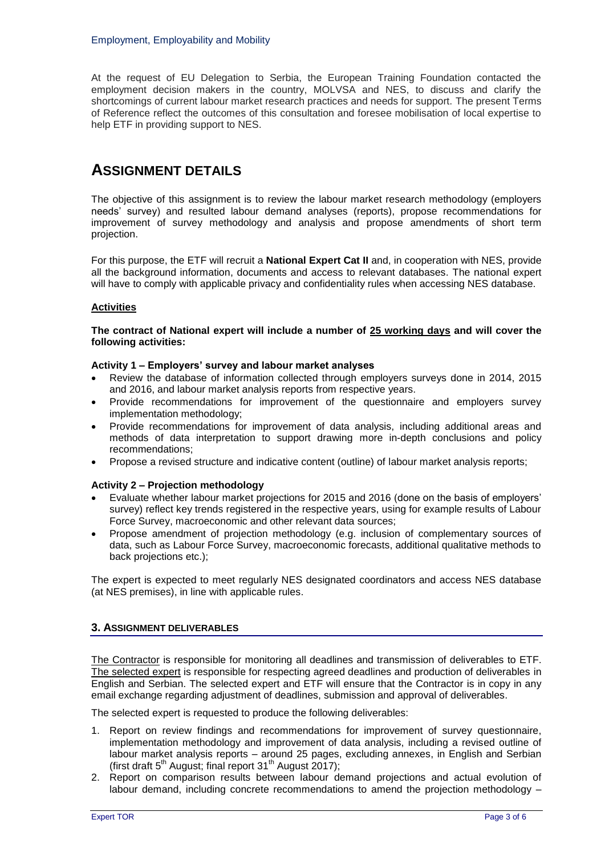At the request of EU Delegation to Serbia, the European Training Foundation contacted the employment decision makers in the country, MOLVSA and NES, to discuss and clarify the shortcomings of current labour market research practices and needs for support. The present Terms of Reference reflect the outcomes of this consultation and foresee mobilisation of local expertise to help ETF in providing support to NES.

## **ASSIGNMENT DETAILS**

The objective of this assignment is to review the labour market research methodology (employers needs' survey) and resulted labour demand analyses (reports), propose recommendations for improvement of survey methodology and analysis and propose amendments of short term projection.

For this purpose, the ETF will recruit a **National Expert Cat II** and, in cooperation with NES, provide all the background information, documents and access to relevant databases. The national expert will have to comply with applicable privacy and confidentiality rules when accessing NES database.

### **Activities**

#### **The contract of National expert will include a number of 25 working days and will cover the following activities:**

#### **Activity 1 – Employers' survey and labour market analyses**

- Review the database of information collected through employers surveys done in 2014, 2015 and 2016, and labour market analysis reports from respective years.
- Provide recommendations for improvement of the questionnaire and employers survey implementation methodology;
- Provide recommendations for improvement of data analysis, including additional areas and methods of data interpretation to support drawing more in-depth conclusions and policy recommendations;
- Propose a revised structure and indicative content (outline) of labour market analysis reports;

#### **Activity 2 – Projection methodology**

- Evaluate whether labour market projections for 2015 and 2016 (done on the basis of employers' survey) reflect key trends registered in the respective years, using for example results of Labour Force Survey, macroeconomic and other relevant data sources;
- Propose amendment of projection methodology (e.g. inclusion of complementary sources of data, such as Labour Force Survey, macroeconomic forecasts, additional qualitative methods to back projections etc.);

The expert is expected to meet regularly NES designated coordinators and access NES database (at NES premises), in line with applicable rules.

### **3. ASSIGNMENT DELIVERABLES**

The Contractor is responsible for monitoring all deadlines and transmission of deliverables to ETF. The selected expert is responsible for respecting agreed deadlines and production of deliverables in English and Serbian. The selected expert and ETF will ensure that the Contractor is in copy in any email exchange regarding adjustment of deadlines, submission and approval of deliverables.

The selected expert is requested to produce the following deliverables:

- 1. Report on review findings and recommendations for improvement of survey questionnaire, implementation methodology and improvement of data analysis, including a revised outline of labour market analysis reports – around 25 pages, excluding annexes, in English and Serbian (first draft  $5<sup>th</sup>$  August; final report  $31<sup>th</sup>$  August 2017);
- 2. Report on comparison results between labour demand projections and actual evolution of labour demand, including concrete recommendations to amend the projection methodology –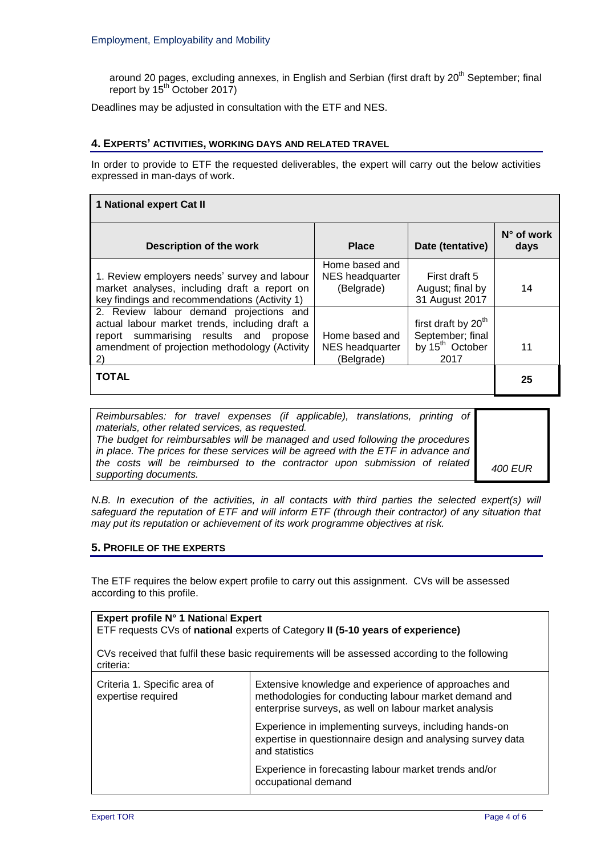around 20 pages, excluding annexes, in English and Serbian (first draft by 20<sup>th</sup> September; final report by  $15^{th}$  October 2017)

Deadlines may be adjusted in consultation with the ETF and NES.

#### **4. EXPERTS' ACTIVITIES, WORKING DAYS AND RELATED TRAVEL**

In order to provide to ETF the requested deliverables, the expert will carry out the below activities expressed in man-days of work.

| 1 National expert Cat II                                                                                                                                                                   |                                                 |                                                                                            |                             |  |
|--------------------------------------------------------------------------------------------------------------------------------------------------------------------------------------------|-------------------------------------------------|--------------------------------------------------------------------------------------------|-----------------------------|--|
| Description of the work                                                                                                                                                                    | <b>Place</b>                                    | Date (tentative)                                                                           | $N^{\circ}$ of work<br>days |  |
| 1. Review employers needs' survey and labour<br>market analyses, including draft a report on<br>key findings and recommendations (Activity 1)                                              | Home based and<br>NES headquarter<br>(Belgrade) | First draft 5<br>August; final by<br>31 August 2017                                        | 14                          |  |
| 2. Review labour demand projections and<br>actual labour market trends, including draft a<br>report summarising results and propose<br>amendment of projection methodology (Activity<br>2) | Home based and<br>NES headquarter<br>(Belgrade) | first draft by 20 <sup>th</sup><br>September; final<br>by 15 <sup>th</sup> October<br>2017 | 11                          |  |
| <b>TOTAL</b>                                                                                                                                                                               |                                                 |                                                                                            | 25                          |  |

| Reimbursables: for travel expenses (if applicable), translations, printing of      |                |  |
|------------------------------------------------------------------------------------|----------------|--|
| materials, other related services, as requested.                                   |                |  |
| The budget for reimbursables will be managed and used following the procedures     |                |  |
| in place. The prices for these services will be agreed with the ETF in advance and |                |  |
| the costs will be reimbursed to the contractor upon submission of related          | <b>400 EUR</b> |  |
| supporting documents.                                                              |                |  |

*N.B. In execution of the activities, in all contacts with third parties the selected expert(s) will safeguard the reputation of ETF and will inform ETF (through their contractor) of any situation that may put its reputation or achievement of its work programme objectives at risk.*

#### **5. PROFILE OF THE EXPERTS**

The ETF requires the below expert profile to carry out this assignment. CVs will be assessed according to this profile.

| Expert profile N° 1 National Expert<br>ETF requests CVs of national experts of Category II (5-10 years of experience) |                                                                                                                                                                        |  |  |  |
|-----------------------------------------------------------------------------------------------------------------------|------------------------------------------------------------------------------------------------------------------------------------------------------------------------|--|--|--|
| CVs received that fulfil these basic requirements will be assessed according to the following<br>criteria:            |                                                                                                                                                                        |  |  |  |
| Criteria 1. Specific area of<br>expertise required                                                                    | Extensive knowledge and experience of approaches and<br>methodologies for conducting labour market demand and<br>enterprise surveys, as well on labour market analysis |  |  |  |
|                                                                                                                       | Experience in implementing surveys, including hands-on<br>expertise in questionnaire design and analysing survey data<br>and statistics                                |  |  |  |
|                                                                                                                       | Experience in forecasting labour market trends and/or<br>occupational demand                                                                                           |  |  |  |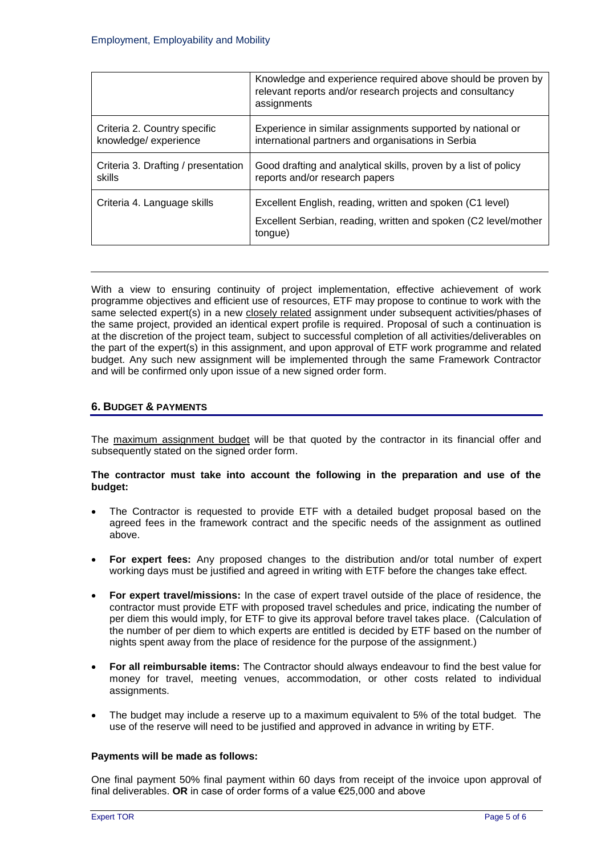|                                     | Knowledge and experience required above should be proven by<br>relevant reports and/or research projects and consultancy<br>assignments |
|-------------------------------------|-----------------------------------------------------------------------------------------------------------------------------------------|
| Criteria 2. Country specific        | Experience in similar assignments supported by national or                                                                              |
| knowledge/experience                | international partners and organisations in Serbia                                                                                      |
| Criteria 3. Drafting / presentation | Good drafting and analytical skills, proven by a list of policy                                                                         |
| skills                              | reports and/or research papers                                                                                                          |
| Criteria 4. Language skills         | Excellent English, reading, written and spoken (C1 level)<br>Excellent Serbian, reading, written and spoken (C2 level/mother<br>tongue) |

With a view to ensuring continuity of project implementation, effective achievement of work programme objectives and efficient use of resources, ETF may propose to continue to work with the same selected expert(s) in a new closely related assignment under subsequent activities/phases of the same project, provided an identical expert profile is required. Proposal of such a continuation is at the discretion of the project team, subject to successful completion of all activities/deliverables on the part of the expert(s) in this assignment, and upon approval of ETF work programme and related budget. Any such new assignment will be implemented through the same Framework Contractor and will be confirmed only upon issue of a new signed order form.

### **6. BUDGET & PAYMENTS**

The maximum assignment budget will be that quoted by the contractor in its financial offer and subsequently stated on the signed order form.

#### **The contractor must take into account the following in the preparation and use of the budget:**

- The Contractor is requested to provide ETF with a detailed budget proposal based on the agreed fees in the framework contract and the specific needs of the assignment as outlined above.
- **For expert fees:** Any proposed changes to the distribution and/or total number of expert working days must be justified and agreed in writing with ETF before the changes take effect.
- **For expert travel/missions:** In the case of expert travel outside of the place of residence, the contractor must provide ETF with proposed travel schedules and price, indicating the number of per diem this would imply, for ETF to give its approval before travel takes place. (Calculation of the number of per diem to which experts are entitled is decided by ETF based on the number of nights spent away from the place of residence for the purpose of the assignment.)
- **For all reimbursable items:** The Contractor should always endeavour to find the best value for money for travel, meeting venues, accommodation, or other costs related to individual assignments.
- The budget may include a reserve up to a maximum equivalent to 5% of the total budget. The use of the reserve will need to be justified and approved in advance in writing by ETF.

#### **Payments will be made as follows:**

One final payment 50% final payment within 60 days from receipt of the invoice upon approval of final deliverables. **OR** in case of order forms of a value €25,000 and above